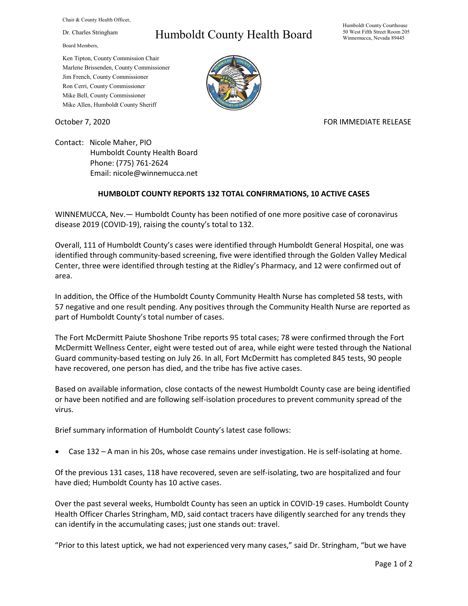Chair & County Health Officer,

Dr. Charles Stringham

Board Members,

## Humboldt County Health Board

Humboldt County Courthouse 50 West Fifth Street Room 205 Winnemucca, Nevada 89445

Ken Tipton, County Commission Chair Marlene Brissenden, County Commissioner Jim French, County Commissioner Ron Cerri, County Commissioner Mike Bell, County Commissioner Mike Allen, Humboldt County Sheriff



October 7, 2020 FOR IMMEDIATE RELEASE

Contact: Nicole Maher, PIO Humboldt County Health Board Phone: (775) 761-2624 Email: nicole@winnemucca.net

## **HUMBOLDT COUNTY REPORTS 132 TOTAL CONFIRMATIONS, 10 ACTIVE CASES**

WINNEMUCCA, Nev.— Humboldt County has been notified of one more positive case of coronavirus disease 2019 (COVID-19), raising the county's total to 132.

Overall, 111 of Humboldt County's cases were identified through Humboldt General Hospital, one was identified through community-based screening, five were identified through the Golden Valley Medical Center, three were identified through testing at the Ridley's Pharmacy, and 12 were confirmed out of area.

In addition, the Office of the Humboldt County Community Health Nurse has completed 58 tests, with 57 negative and one result pending. Any positives through the Community Health Nurse are reported as part of Humboldt County's total number of cases.

The Fort McDermitt Paiute Shoshone Tribe reports 95 total cases; 78 were confirmed through the Fort McDermitt Wellness Center, eight were tested out of area, while eight were tested through the National Guard community-based testing on July 26. In all, Fort McDermitt has completed 845 tests, 90 people have recovered, one person has died, and the tribe has five active cases.

Based on available information, close contacts of the newest Humboldt County case are being identified or have been notified and are following self-isolation procedures to prevent community spread of the virus.

Brief summary information of Humboldt County's latest case follows:

• Case 132 – A man in his 20s, whose case remains under investigation. He is self-isolating at home.

Of the previous 131 cases, 118 have recovered, seven are self-isolating, two are hospitalized and four have died; Humboldt County has 10 active cases.

Over the past several weeks, Humboldt County has seen an uptick in COVID-19 cases. Humboldt County Health Officer Charles Stringham, MD, said contact tracers have diligently searched for any trends they can identify in the accumulating cases; just one stands out: travel.

"Prior to this latest uptick, we had not experienced very many cases," said Dr. Stringham, "but we have